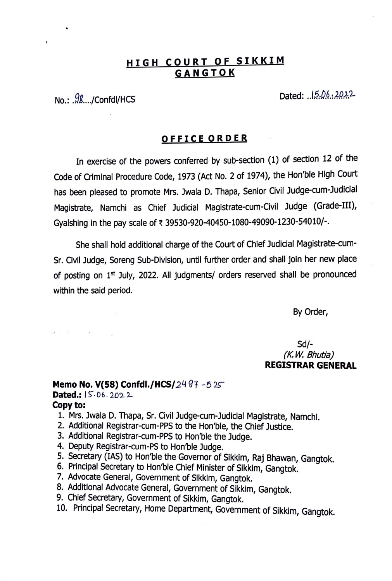# **HIGH COURT OF SIKKIM GANGTOK**

No.: .98..../Confdl/HCS Dated: ..15.06..2022

### **OFFICE ORDER**

In exercise of the powers conferred by sub-section (1) of section 12 of the Code of Criminal Procedure Code, 1973 (Act No. 2 of 1974), the Hon'ble High Court has been pleased to promote Mrs. Jwala D. Thapa, Senior Civil Judge-cum-Judicial Magistrate, Namchi as Chief Judicial Magistrate-cum-Civil Judge (Grade-III), Gyalshing in the pay scale of ₹ 39530-920-40450-1080-49090-1230-54010/-.

She shall hold additional charge of the Court of Chief Judicial Magistrate-cum-Sr. Civil Judge, Soreng Sub-Division, until further order and shall join her new place of posting on  $1<sup>st</sup>$  July, 2022. All judgments/ orders reserved shall be pronounced within the said period.

By Order,

Sd/- *(K. W. Bhutia)*  **REGISTRAR GENERAL** 

#### **Memo No. V(58) Confdl./HCS/2497-525**

Dated.:  $5.06.2022$ 

#### **Copy to:**

 $\lambda$   $\lambda$   $\lambda$   $\lambda$ 

- 1. Mrs. Jwala D. Thapa, Sr. Civil Judge-cum-Judicial Magistrate, Namchi.
- 2. Additional Registrar-cum-PPS to the Hon'ble, the Chief Justice.
- 3. Additional Registrar-cum-PPS to Hon'ble the Judge.
- 4. Deputy Registrar-cum-PS to Hon'ble Judge.
- 5. Secretary (IAS) to Hon'ble the Governor of Sikkim, Raj Bhawan, Gangtok.
- 6. Principal Secretary to Hon'ble Chief Minister of Sikkim, Gangtok.
- 7. Advocate General, Government of Sikkim, Gangtok.
- 8. Additional Advocate General, Government of Sikkim, Gangtok.
- 9. Chief Secretary, Government of Sikkim, Gangtok.
- 10. Principal Secretary, Home Department, Government of Sikkim, Gangtok.